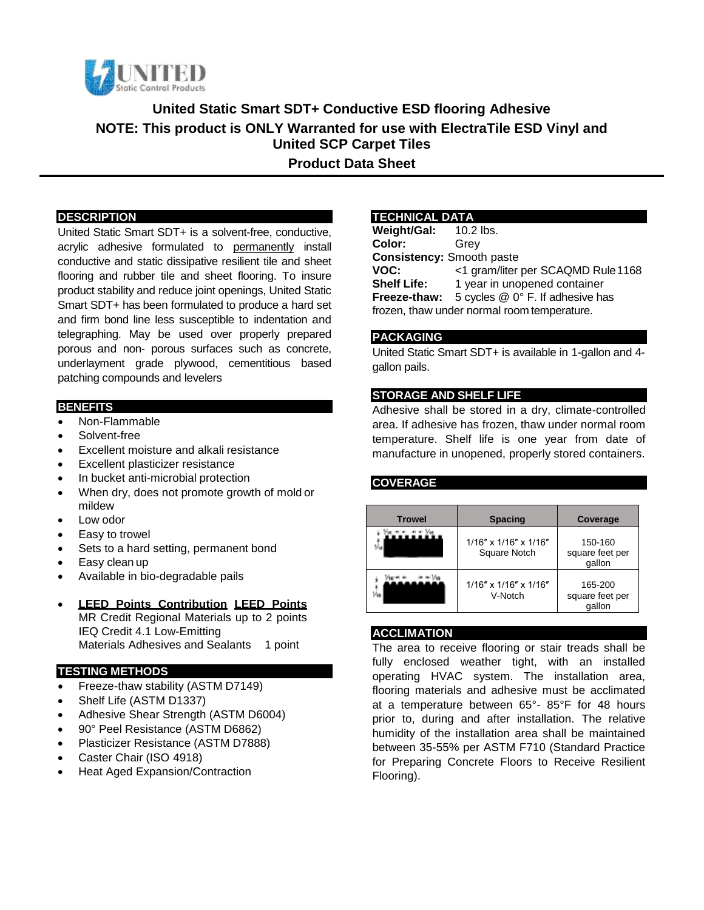

**United Static Smart SDT+ Conductive ESD flooring Adhesive NOTE: This product is ONLY Warranted for use with ElectraTile ESD Vinyl and United SCP Carpet Tiles Product Data Sheet**

### **DESCRIPTION**

United Static Smart SDT+ is a solvent-free, conductive, acrylic adhesive formulated to permanently install conductive and static dissipative resilient tile and sheet flooring and rubber tile and sheet flooring. To insure product stability and reduce joint openings, United Static Smart SDT+ has been formulated to produce a hard set and firm bond line less susceptible to indentation and telegraphing. May be used over properly prepared porous and non- porous surfaces such as concrete, underlayment grade plywood, cementitious based patching compounds and levelers

#### **BENEFITS**

- Non-Flammable
- Solvent-free
- Excellent moisture and alkali resistance
- Excellent plasticizer resistance
- In bucket anti-microbial protection
- When dry, does not promote growth of mold or mildew
- Low odor
- Easy to trowel
- Sets to a hard setting, permanent bond
- Easy clean up
- Available in bio-degradable pails

### **LEED Points Contribution LEED Points**

MR Credit Regional Materials up to 2 points IEQ Credit 4.1 Low-Emitting Materials Adhesives and Sealants 1 point

### **TESTING METHODS**

- Freeze-thaw stability (ASTM D7149)
- Shelf Life (ASTM D1337)
- Adhesive Shear Strength (ASTM D6004)
- 90° Peel Resistance (ASTM D6862)
- Plasticizer Resistance (ASTM D7888)
- Caster Chair (ISO 4918)
- Heat Aged Expansion/Contraction

### **TECHNICAL DATA**

**Weight/Gal:** 10.2 lbs. **Color:** Grey **Consistency:** Smooth paste **VOC:** <1 gram/liter per SCAQMD Rule1168 **Shelf Life:** 1 year in unopened container **Freeze-thaw:** 5 cycles @ 0° F. If adhesive has frozen, thaw under normal room temperature.

### **PACKAGING**

United Static Smart SDT+ is available in 1-gallon and 4 gallon pails.

### **STORAGE AND SHELF LIFE**

Adhesive shall be stored in a dry, climate-controlled area. If adhesive has frozen, thaw under normal room temperature. Shelf life is one year from date of manufacture in unopened, properly stored containers.

### **COVERAGE**

| <b>Trowel</b> | <b>Spacing</b>                              | Coverage                             |
|---------------|---------------------------------------------|--------------------------------------|
|               | $1/16"$ x $1/16"$ x $1/16"$<br>Square Notch | 150-160<br>square feet per<br>gallon |
|               | $1/16"$ x $1/16"$ x $1/16"$<br>V-Notch      | 165-200<br>square feet per<br>qallon |

### **ACCLIMATION**

The area to receive flooring or stair treads shall be fully enclosed weather tight, with an installed operating HVAC system. The installation area, flooring materials and adhesive must be acclimated at a temperature between 65°- 85°F for 48 hours prior to, during and after installation. The relative humidity of the installation area shall be maintained between 35-55% per ASTM F710 (Standard Practice for Preparing Concrete Floors to Receive Resilient Flooring).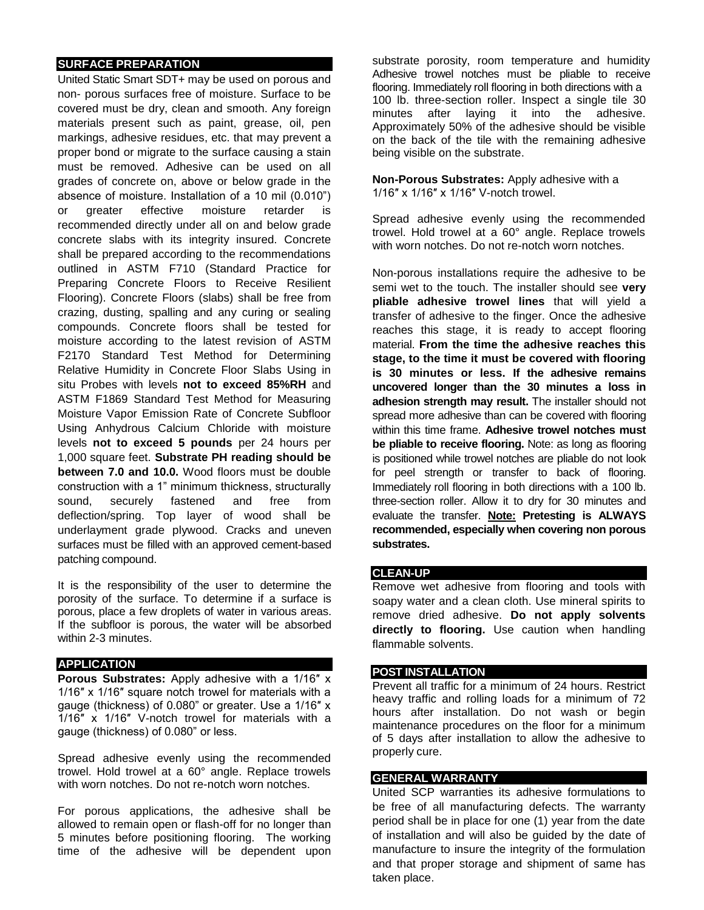## **SURFACE PREPARATION**

United Static Smart SDT+ may be used on porous and non- porous surfaces free of moisture. Surface to be covered must be dry, clean and smooth. Any foreign materials present such as paint, grease, oil, pen markings, adhesive residues, etc. that may prevent a proper bond or migrate to the surface causing a stain must be removed. Adhesive can be used on all grades of concrete on, above or below grade in the absence of moisture. Installation of a 10 mil (0.010") or greater effective moisture retarder is recommended directly under all on and below grade concrete slabs with its integrity insured. Concrete shall be prepared according to the recommendations outlined in ASTM F710 (Standard Practice for Preparing Concrete Floors to Receive Resilient Flooring). Concrete Floors (slabs) shall be free from crazing, dusting, spalling and any curing or sealing compounds. Concrete floors shall be tested for moisture according to the latest revision of ASTM F2170 Standard Test Method for Determining Relative Humidity in Concrete Floor Slabs Using in situ Probes with levels **not to exceed 85%RH** and ASTM F1869 Standard Test Method for Measuring Moisture Vapor Emission Rate of Concrete Subfloor Using Anhydrous Calcium Chloride with moisture levels **not to exceed 5 pounds** per 24 hours per 1,000 square feet. **Substrate PH reading should be between 7.0 and 10.0.** Wood floors must be double construction with a 1" minimum thickness, structurally sound, securely fastened and free from deflection/spring. Top layer of wood shall be underlayment grade plywood. Cracks and uneven surfaces must be filled with an approved cement-based patching compound.

It is the responsibility of the user to determine the porosity of the surface. To determine if a surface is porous, place a few droplets of water in various areas. If the subfloor is porous, the water will be absorbed within 2-3 minutes.

### **APPLICATION**

**Porous Substrates:** Apply adhesive with a 1/16″ x 1/16″ x 1/16″ square notch trowel for materials with a gauge (thickness) of 0.080" or greater. Use a 1/16″ x 1/16″ x 1/16″ V-notch trowel for materials with a gauge (thickness) of 0.080" or less.

Spread adhesive evenly using the recommended trowel. Hold trowel at a 60° angle. Replace trowels with worn notches. Do not re-notch worn notches.

For porous applications, the adhesive shall be allowed to remain open or flash-off for no longer than 5 minutes before positioning flooring. The working time of the adhesive will be dependent upon

substrate porosity, room temperature and humidity Adhesive trowel notches must be pliable to receive flooring. Immediately roll flooring in both directions with a 100 lb. three-section roller. Inspect a single tile 30 minutes after laying it into the adhesive. Approximately 50% of the adhesive should be visible on the back of the tile with the remaining adhesive being visible on the substrate.

**Non-Porous Substrates:** Apply adhesive with a 1/16″ x 1/16″ x 1/16″ V-notch trowel.

Spread adhesive evenly using the recommended trowel. Hold trowel at a 60° angle. Replace trowels with worn notches. Do not re-notch worn notches.

Non-porous installations require the adhesive to be semi wet to the touch. The installer should see **very pliable adhesive trowel lines** that will yield a transfer of adhesive to the finger. Once the adhesive reaches this stage, it is ready to accept flooring material. **From the time the adhesive reaches this stage, to the time it must be covered with flooring is 30 minutes or less. If the adhesive remains uncovered longer than the 30 minutes a loss in adhesion strength may result.** The installer should not spread more adhesive than can be covered with flooring within this time frame. **Adhesive trowel notches must be pliable to receive flooring.** Note: as long as flooring is positioned while trowel notches are pliable do not look for peel strength or transfer to back of flooring. Immediately roll flooring in both directions with a 100 lb. three-section roller. Allow it to dry for 30 minutes and evaluate the transfer. **Note: Pretesting is ALWAYS recommended, especially when covering non porous substrates.**

### **CLEAN-UP**

Remove wet adhesive from flooring and tools with soapy water and a clean cloth. Use mineral spirits to remove dried adhesive. **Do not apply solvents directly to flooring.** Use caution when handling flammable solvents.

## **POST INSTALLATION**

Prevent all traffic for a minimum of 24 hours. Restrict heavy traffic and rolling loads for a minimum of 72 hours after installation. Do not wash or begin maintenance procedures on the floor for a minimum of 5 days after installation to allow the adhesive to properly cure.

### **GENERAL WARRANTY**

United SCP warranties its adhesive formulations to be free of all manufacturing defects. The warranty period shall be in place for one (1) year from the date of installation and will also be guided by the date of manufacture to insure the integrity of the formulation and that proper storage and shipment of same has taken place.